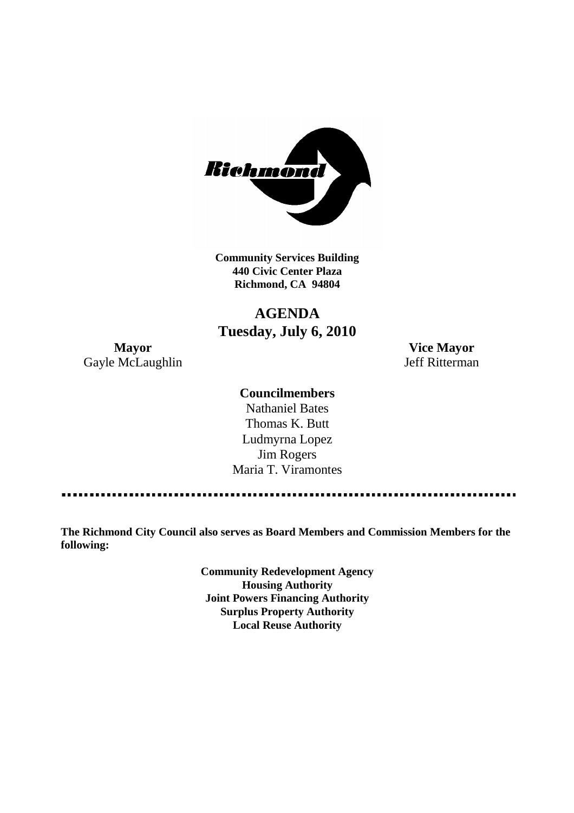

**Community Services Building 440 Civic Center Plaza Richmond, CA 94804**

## **AGENDA Tuesday, July 6, 2010**

**Mayor Vice Mayor** Gayle McLaughlin Jeff Ritterman

#### **Councilmembers**

Nathaniel Bates Thomas K. Butt Ludmyrna Lopez Jim Rogers Maria T. Viramontes

**The Richmond City Council also serves as Board Members and Commission Members for the following:**

> **Community Redevelopment Agency Housing Authority Joint Powers Financing Authority Surplus Property Authority Local Reuse Authority**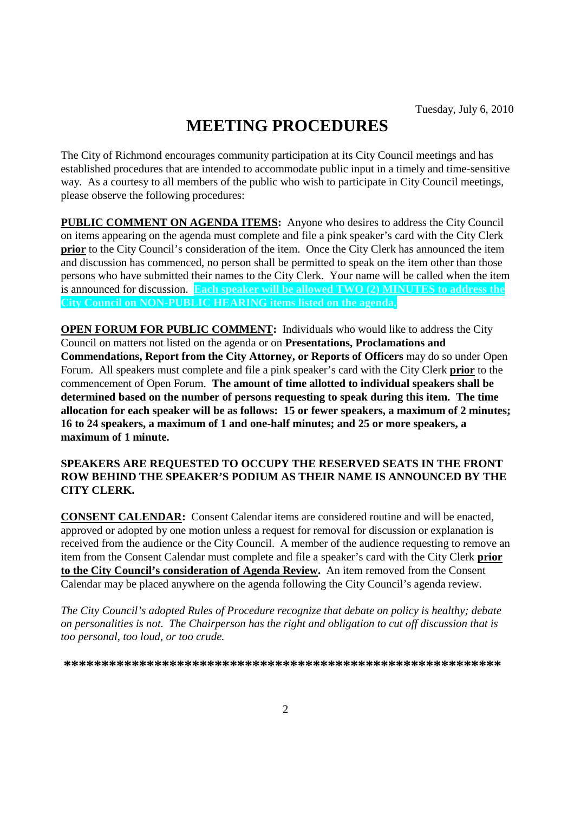# **MEETING PROCEDURES**

The City of Richmond encourages community participation at its City Council meetings and has established procedures that are intended to accommodate public input in a timely and time-sensitive way. As a courtesy to all members of the public who wish to participate in City Council meetings, please observe the following procedures:

**PUBLIC COMMENT ON AGENDA ITEMS:** Anyone who desires to address the City Council on items appearing on the agenda must complete and file a pink speaker's card with the City Clerk **prior** to the City Council's consideration of the item. Once the City Clerk has announced the item and discussion has commenced, no person shall be permitted to speak on the item other than those persons who have submitted their names to the City Clerk. Your name will be called when the item is announced for discussion. **Each speaker will be allowed TWO (2) MINUTES to address the City Council on NON-PUBLIC HEARING items listed on the agenda.**

**OPEN FORUM FOR PUBLIC COMMENT:** Individuals who would like to address the City Council on matters not listed on the agenda or on **Presentations, Proclamations and Commendations, Report from the City Attorney, or Reports of Officers** may do so under Open Forum. All speakers must complete and file a pink speaker's card with the City Clerk **prior** to the commencement of Open Forum. **The amount of time allotted to individual speakers shall be determined based on the number of persons requesting to speak during this item. The time allocation for each speaker will be as follows: 15 or fewer speakers, a maximum of 2 minutes; 16 to 24 speakers, a maximum of 1 and one-half minutes; and 25 or more speakers, a maximum of 1 minute.**

#### **SPEAKERS ARE REQUESTED TO OCCUPY THE RESERVED SEATS IN THE FRONT ROW BEHIND THE SPEAKER'S PODIUM AS THEIR NAME IS ANNOUNCED BY THE CITY CLERK.**

**CONSENT CALENDAR:** Consent Calendar items are considered routine and will be enacted, approved or adopted by one motion unless a request for removal for discussion or explanation is received from the audience or the City Council. A member of the audience requesting to remove an item from the Consent Calendar must complete and file a speaker's card with the City Clerk **prior to the City Council's consideration of Agenda Review.** An item removed from the Consent Calendar may be placed anywhere on the agenda following the City Council's agenda review.

*The City Council's adopted Rules of Procedure recognize that debate on policy is healthy; debate on personalities is not. The Chairperson has the right and obligation to cut off discussion that is too personal, too loud, or too crude.*

**\*\*\*\*\*\*\*\*\*\*\*\*\*\*\*\*\*\*\*\*\*\*\*\*\*\*\*\*\*\*\*\*\*\*\*\*\*\*\*\*\*\*\*\*\*\*\*\*\*\*\*\*\*\*\*\*\*\***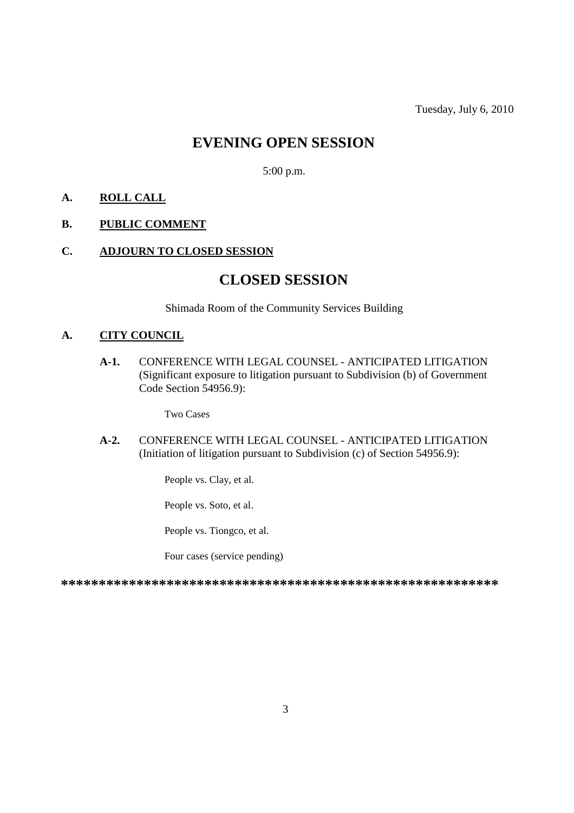### **EVENING OPEN SESSION**

5:00 p.m.

#### **A. ROLL CALL**

#### **B. PUBLIC COMMENT**

#### **C. ADJOURN TO CLOSED SESSION**

### **CLOSED SESSION**

Shimada Room of the Community Services Building

#### **A. CITY COUNCIL**

**A-1.** CONFERENCE WITH LEGAL COUNSEL - ANTICIPATED LITIGATION (Significant exposure to litigation pursuant to Subdivision (b) of Government Code Section 54956.9):

Two Cases

**A-2.** CONFERENCE WITH LEGAL COUNSEL - ANTICIPATED LITIGATION (Initiation of litigation pursuant to Subdivision (c) of Section 54956.9):

People vs. Clay, et al.

People vs. Soto, et al.

People vs. Tiongco, et al.

Four cases (service pending)

**\*\*\*\*\*\*\*\*\*\*\*\*\*\*\*\*\*\*\*\*\*\*\*\*\*\*\*\*\*\*\*\*\*\*\*\*\*\*\*\*\*\*\*\*\*\*\*\*\*\*\*\*\*\*\*\*\*\***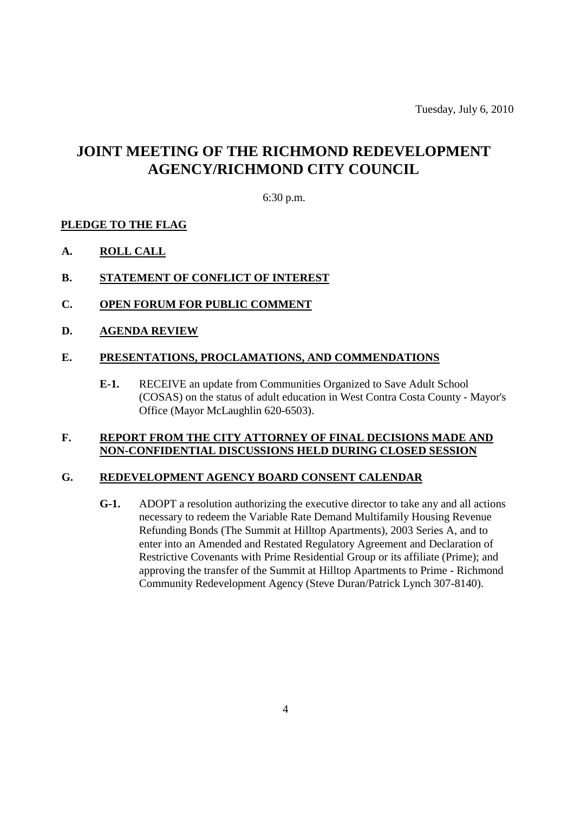# **JOINT MEETING OF THE RICHMOND REDEVELOPMENT AGENCY/RICHMOND CITY COUNCIL**

6:30 p.m.

#### **PLEDGE TO THE FLAG**

- **A. ROLL CALL**
- **B. STATEMENT OF CONFLICT OF INTEREST**
- **C. OPEN FORUM FOR PUBLIC COMMENT**
- **D. AGENDA REVIEW**

#### **E. PRESENTATIONS, PROCLAMATIONS, AND COMMENDATIONS**

**E-1.** RECEIVE an update from Communities Organized to Save Adult School (COSAS) on the status of adult education in West Contra Costa County - Mayor's Office (Mayor McLaughlin 620-6503).

#### **F. REPORT FROM THE CITY ATTORNEY OF FINAL DECISIONS MADE AND NON-CONFIDENTIAL DISCUSSIONS HELD DURING CLOSED SESSION**

#### **G. REDEVELOPMENT AGENCY BOARD CONSENT CALENDAR**

**G-1.** ADOPT a resolution authorizing the executive director to take any and all actions necessary to redeem the Variable Rate Demand Multifamily Housing Revenue Refunding Bonds (The Summit at Hilltop Apartments), 2003 Series A, and to enter into an Amended and Restated Regulatory Agreement and Declaration of Restrictive Covenants with Prime Residential Group or its affiliate (Prime); and approving the transfer of the Summit at Hilltop Apartments to Prime - Richmond Community Redevelopment Agency (Steve Duran/Patrick Lynch 307-8140).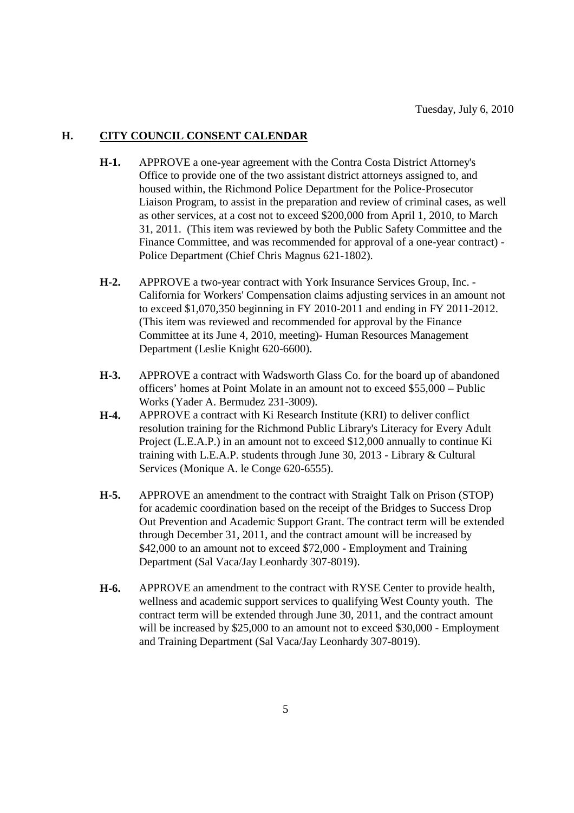#### **H. CITY COUNCIL CONSENT CALENDAR**

- **H-1.** APPROVE a one-year agreement with the Contra Costa District Attorney's Office to provide one of the two assistant district attorneys assigned to, and housed within, the Richmond Police Department for the Police-Prosecutor Liaison Program, to assist in the preparation and review of criminal cases, as well as other services, at a cost not to exceed \$200,000 from April 1, 2010, to March 31, 2011. (This item was reviewed by both the Public Safety Committee and the Finance Committee, and was recommended for approval of a one-year contract) - Police Department (Chief Chris Magnus 621-1802).
- **H-2.** APPROVE a two-year contract with York Insurance Services Group, Inc. California for Workers' Compensation claims adjusting services in an amount not to exceed \$1,070,350 beginning in FY 2010-2011 and ending in FY 2011-2012. (This item was reviewed and recommended for approval by the Finance Committee at its June 4, 2010, meeting)- Human Resources Management Department (Leslie Knight 620-6600).
- **H-3.** APPROVE a contract with Wadsworth Glass Co. for the board up of abandoned officers' homes at Point Molate in an amount not to exceed \$55,000 – Public Works (Yader A. Bermudez 231-3009).
- **H-4.** APPROVE a contract with Ki Research Institute (KRI) to deliver conflict resolution training for the Richmond Public Library's Literacy for Every Adult Project (L.E.A.P.) in an amount not to exceed \$12,000 annually to continue Ki training with L.E.A.P. students through June 30, 2013 - Library & Cultural Services (Monique A. le Conge 620-6555).
- **H-5.** APPROVE an amendment to the contract with Straight Talk on Prison (STOP) for academic coordination based on the receipt of the Bridges to Success Drop Out Prevention and Academic Support Grant. The contract term will be extended through December 31, 2011, and the contract amount will be increased by \$42,000 to an amount not to exceed \$72,000 - Employment and Training Department (Sal Vaca/Jay Leonhardy 307-8019).
- **H-6.** APPROVE an amendment to the contract with RYSE Center to provide health, wellness and academic support services to qualifying West County youth. The contract term will be extended through June 30, 2011, and the contract amount will be increased by \$25,000 to an amount not to exceed \$30,000 - Employment and Training Department (Sal Vaca/Jay Leonhardy 307-8019).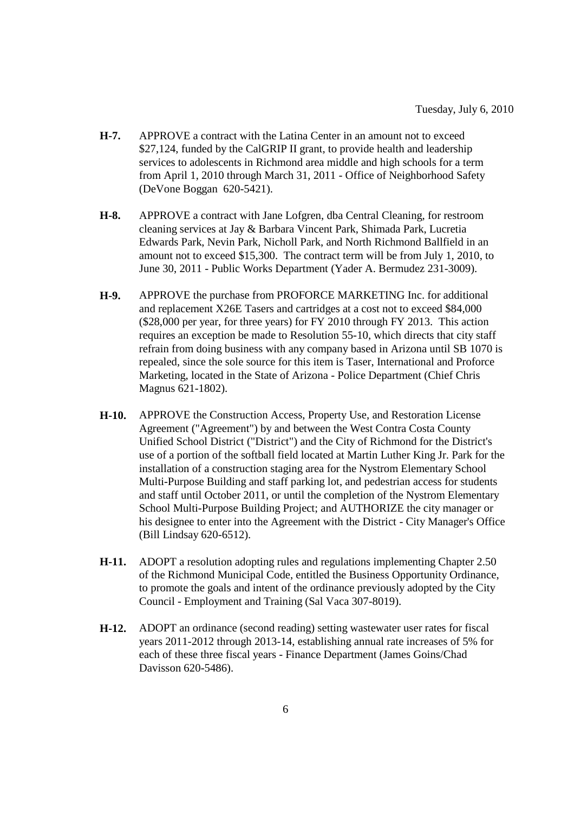- **H-7.** APPROVE a contract with the Latina Center in an amount not to exceed \$27,124, funded by the CalGRIP II grant, to provide health and leadership services to adolescents in Richmond area middle and high schools for a term from April 1, 2010 through March 31, 2011 - Office of Neighborhood Safety (DeVone Boggan 620-5421).
- **H-8.** APPROVE a contract with Jane Lofgren, dba Central Cleaning, for restroom cleaning services at Jay & Barbara Vincent Park, Shimada Park, Lucretia Edwards Park, Nevin Park, Nicholl Park, and North Richmond Ballfield in an amount not to exceed \$15,300. The contract term will be from July 1, 2010, to June 30, 2011 - Public Works Department (Yader A. Bermudez 231-3009).
- **H-9.** APPROVE the purchase from PROFORCE MARKETING Inc. for additional and replacement X26E Tasers and cartridges at a cost not to exceed \$84,000 (\$28,000 per year, for three years) for FY 2010 through FY 2013. This action requires an exception be made to Resolution 55-10, which directs that city staff refrain from doing business with any company based in Arizona until SB 1070 is repealed, since the sole source for this item is Taser, International and Proforce Marketing, located in the State of Arizona - Police Department (Chief Chris Magnus 621-1802).
- **H-10.** APPROVE the Construction Access, Property Use, and Restoration License Agreement ("Agreement") by and between the West Contra Costa County Unified School District ("District") and the City of Richmond for the District's use of a portion of the softball field located at Martin Luther King Jr. Park for the installation of a construction staging area for the Nystrom Elementary School Multi-Purpose Building and staff parking lot, and pedestrian access for students and staff until October 2011, or until the completion of the Nystrom Elementary School Multi-Purpose Building Project; and AUTHORIZE the city manager or his designee to enter into the Agreement with the District - City Manager's Office (Bill Lindsay 620-6512).
- **H-11.** ADOPT a resolution adopting rules and regulations implementing Chapter 2.50 of the Richmond Municipal Code, entitled the Business Opportunity Ordinance, to promote the goals and intent of the ordinance previously adopted by the City Council - Employment and Training (Sal Vaca 307-8019).
- **H-12.** ADOPT an ordinance (second reading) setting wastewater user rates for fiscal years 2011-2012 through 2013-14, establishing annual rate increases of 5% for each of these three fiscal years - Finance Department (James Goins/Chad Davisson 620-5486).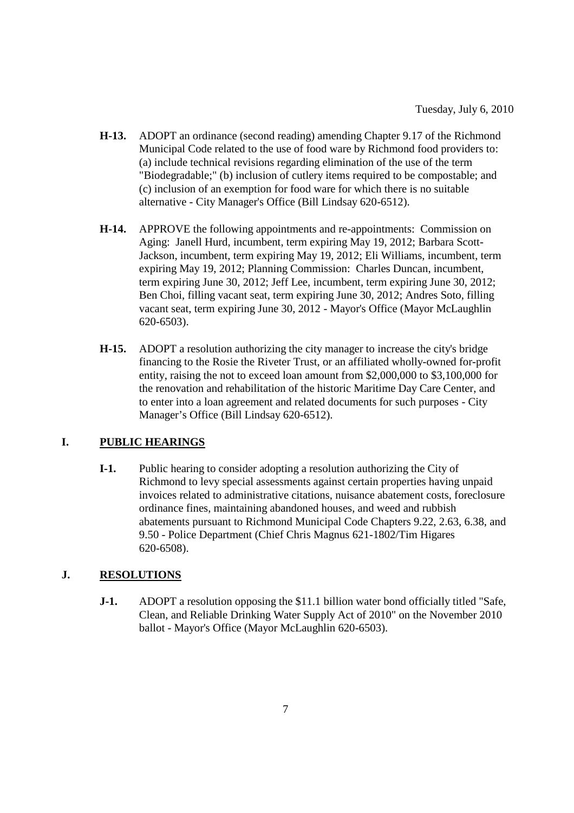- **H-13.** ADOPT an ordinance (second reading) amending Chapter 9.17 of the Richmond Municipal Code related to the use of food ware by Richmond food providers to: (a) include technical revisions regarding elimination of the use of the term "Biodegradable;" (b) inclusion of cutlery items required to be compostable; and (c) inclusion of an exemption for food ware for which there is no suitable alternative - City Manager's Office (Bill Lindsay 620-6512).
- **H-14.** APPROVE the following appointments and re-appointments: Commission on Aging: Janell Hurd, incumbent, term expiring May 19, 2012; Barbara Scott-Jackson, incumbent, term expiring May 19, 2012; Eli Williams, incumbent, term expiring May 19, 2012; Planning Commission: Charles Duncan, incumbent, term expiring June 30, 2012; Jeff Lee, incumbent, term expiring June 30, 2012; Ben Choi, filling vacant seat, term expiring June 30, 2012; Andres Soto, filling vacant seat, term expiring June 30, 2012 - Mayor's Office (Mayor McLaughlin 620-6503).
- **H-15.** ADOPT a resolution authorizing the city manager to increase the city's bridge financing to the Rosie the Riveter Trust, or an affiliated wholly-owned for-profit entity, raising the not to exceed loan amount from \$2,000,000 to \$3,100,000 for the renovation and rehabilitation of the historic Maritime Day Care Center, and to enter into a loan agreement and related documents for such purposes - City Manager's Office (Bill Lindsay 620-6512).

#### **I. PUBLIC HEARINGS**

**I-1.** Public hearing to consider adopting a resolution authorizing the City of Richmond to levy special assessments against certain properties having unpaid invoices related to administrative citations, nuisance abatement costs, foreclosure ordinance fines, maintaining abandoned houses, and weed and rubbish abatements pursuant to Richmond Municipal Code Chapters 9.22, 2.63, 6.38, and 9.50 - Police Department (Chief Chris Magnus 621-1802/Tim Higares 620-6508).

#### **J. RESOLUTIONS**

**J-1.** ADOPT a resolution opposing the \$11.1 billion water bond officially titled "Safe, Clean, and Reliable Drinking Water Supply Act of 2010" on the November 2010 ballot - Mayor's Office (Mayor McLaughlin 620-6503).